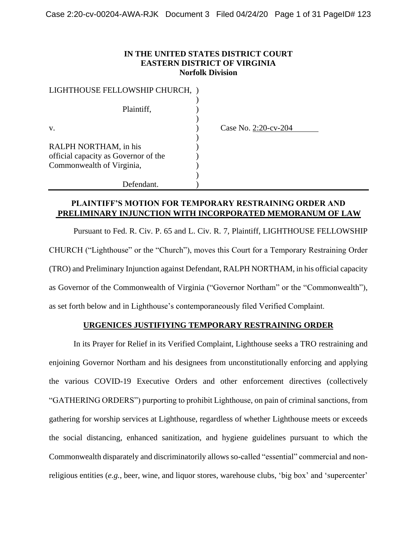### **IN THE UNITED STATES DISTRICT COURT EASTERN DISTRICT OF VIRGINIA Norfolk Division**

| LIGHTHOUSE FELLOWSHIP CHURCH,                                     |                      |
|-------------------------------------------------------------------|----------------------|
| Plaintiff,                                                        |                      |
| V.                                                                | Case No. 2:20-cv-204 |
| RALPH NORTHAM, in his                                             |                      |
| official capacity as Governor of the<br>Commonwealth of Virginia, |                      |
|                                                                   |                      |
| Defendant.                                                        |                      |

# **PLAINTIFF'S MOTION FOR TEMPORARY RESTRAINING ORDER AND PRELIMINARY INJUNCTION WITH INCORPORATED MEMORANUM OF LAW**

Pursuant to Fed. R. Civ. P. 65 and L. Civ. R. 7, Plaintiff, LIGHTHOUSE FELLOWSHIP CHURCH ("Lighthouse" or the "Church"), moves this Court for a Temporary Restraining Order (TRO) and Preliminary Injunction against Defendant, RALPH NORTHAM, in his official capacity as Governor of the Commonwealth of Virginia ("Governor Northam" or the "Commonwealth"), as set forth below and in Lighthouse's contemporaneously filed Verified Complaint.

### **URGENICES JUSTIFIYING TEMPORARY RESTRAINING ORDER**

In its Prayer for Relief in its Verified Complaint, Lighthouse seeks a TRO restraining and enjoining Governor Northam and his designees from unconstitutionally enforcing and applying the various COVID-19 Executive Orders and other enforcement directives (collectively "GATHERING ORDERS") purporting to prohibit Lighthouse, on pain of criminal sanctions, from gathering for worship services at Lighthouse, regardless of whether Lighthouse meets or exceeds the social distancing, enhanced sanitization, and hygiene guidelines pursuant to which the Commonwealth disparately and discriminatorily allows so-called "essential" commercial and nonreligious entities (*e.g.*, beer, wine, and liquor stores, warehouse clubs, 'big box' and 'supercenter'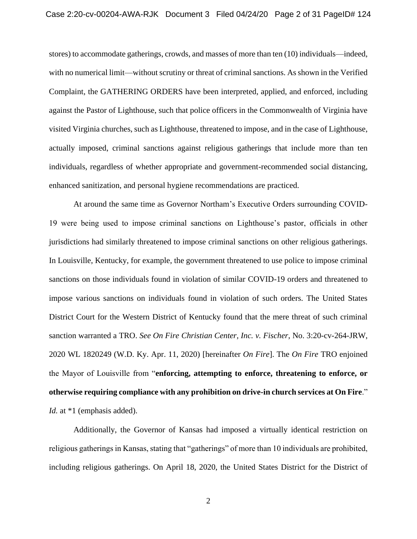stores) to accommodate gatherings, crowds, and masses of more than ten (10) individuals—indeed, with no numerical limit—without scrutiny or threat of criminal sanctions. As shown in the Verified Complaint, the GATHERING ORDERS have been interpreted, applied, and enforced, including against the Pastor of Lighthouse, such that police officers in the Commonwealth of Virginia have visited Virginia churches, such as Lighthouse, threatened to impose, and in the case of Lighthouse, actually imposed, criminal sanctions against religious gatherings that include more than ten individuals, regardless of whether appropriate and government-recommended social distancing, enhanced sanitization, and personal hygiene recommendations are practiced.

At around the same time as Governor Northam's Executive Orders surrounding COVID-19 were being used to impose criminal sanctions on Lighthouse's pastor, officials in other jurisdictions had similarly threatened to impose criminal sanctions on other religious gatherings. In Louisville, Kentucky, for example, the government threatened to use police to impose criminal sanctions on those individuals found in violation of similar COVID-19 orders and threatened to impose various sanctions on individuals found in violation of such orders. The United States District Court for the Western District of Kentucky found that the mere threat of such criminal sanction warranted a TRO. *See On Fire Christian Center, Inc. v. Fischer*, No. 3:20-cv-264-JRW, 2020 WL 1820249 (W.D. Ky. Apr. 11, 2020) [hereinafter *On Fire*]. The *On Fire* TRO enjoined the Mayor of Louisville from "**enforcing, attempting to enforce, threatening to enforce, or otherwise requiring compliance with any prohibition on drive-in church services at On Fire**." *Id.* at \*1 (emphasis added).

Additionally, the Governor of Kansas had imposed a virtually identical restriction on religious gatherings in Kansas, stating that "gatherings" of more than 10 individuals are prohibited, including religious gatherings. On April 18, 2020, the United States District for the District of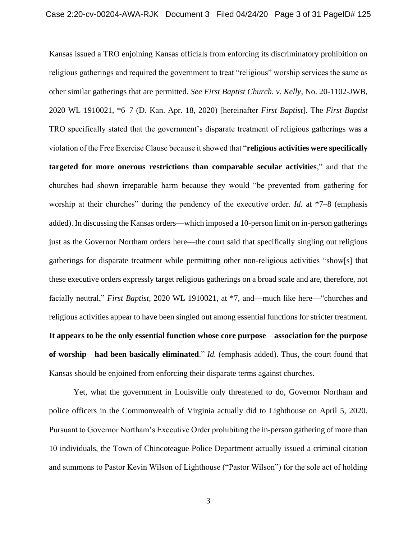Kansas issued a TRO enjoining Kansas officials from enforcing its discriminatory prohibition on religious gatherings and required the government to treat "religious" worship services the same as other similar gatherings that are permitted. *See First Baptist Church. v. Kelly*, No. 20-1102-JWB, 2020 WL 1910021, \*6–7 (D. Kan. Apr. 18, 2020) [hereinafter *First Baptist*]. The *First Baptist*  TRO specifically stated that the government's disparate treatment of religious gatherings was a violation of the Free Exercise Clause because it showed that "**religious activities were specifically targeted for more onerous restrictions than comparable secular activities**," and that the churches had shown irreparable harm because they would "be prevented from gathering for worship at their churches" during the pendency of the executive order. *Id.* at \*7–8 (emphasis added). In discussing the Kansas orders—which imposed a 10-person limit on in-person gatherings just as the Governor Northam orders here—the court said that specifically singling out religious gatherings for disparate treatment while permitting other non-religious activities "show[s] that these executive orders expressly target religious gatherings on a broad scale and are, therefore, not facially neutral," *First Baptist*, 2020 WL 1910021, at \*7, and—much like here—"churches and religious activities appear to have been singled out among essential functions for stricter treatment. **It appears to be the only essential function whose core purpose**—**association for the purpose of worship**—**had been basically eliminated**." *Id.* (emphasis added). Thus, the court found that Kansas should be enjoined from enforcing their disparate terms against churches.

Yet, what the government in Louisville only threatened to do, Governor Northam and police officers in the Commonwealth of Virginia actually did to Lighthouse on April 5, 2020. Pursuant to Governor Northam's Executive Order prohibiting the in-person gathering of more than 10 individuals, the Town of Chincoteague Police Department actually issued a criminal citation and summons to Pastor Kevin Wilson of Lighthouse ("Pastor Wilson") for the sole act of holding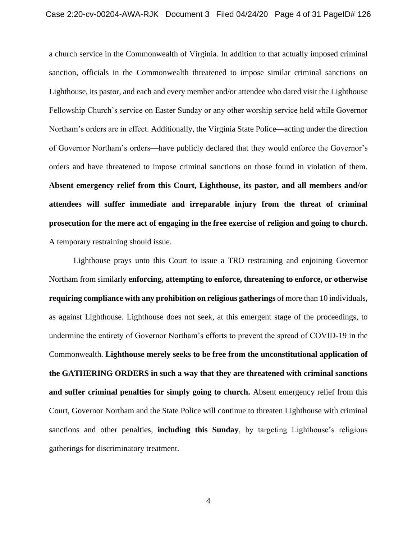a church service in the Commonwealth of Virginia. In addition to that actually imposed criminal sanction, officials in the Commonwealth threatened to impose similar criminal sanctions on Lighthouse, its pastor, and each and every member and/or attendee who dared visit the Lighthouse Fellowship Church's service on Easter Sunday or any other worship service held while Governor Northam's orders are in effect. Additionally, the Virginia State Police—acting under the direction of Governor Northam's orders—have publicly declared that they would enforce the Governor's orders and have threatened to impose criminal sanctions on those found in violation of them. **Absent emergency relief from this Court, Lighthouse, its pastor, and all members and/or attendees will suffer immediate and irreparable injury from the threat of criminal prosecution for the mere act of engaging in the free exercise of religion and going to church.**  A temporary restraining should issue.

Lighthouse prays unto this Court to issue a TRO restraining and enjoining Governor Northam from similarly **enforcing, attempting to enforce, threatening to enforce, or otherwise requiring compliance with any prohibition on religious gatherings** of more than 10 individuals, as against Lighthouse. Lighthouse does not seek, at this emergent stage of the proceedings, to undermine the entirety of Governor Northam's efforts to prevent the spread of COVID-19 in the Commonwealth. **Lighthouse merely seeks to be free from the unconstitutional application of the GATHERING ORDERS in such a way that they are threatened with criminal sanctions and suffer criminal penalties for simply going to church.** Absent emergency relief from this Court, Governor Northam and the State Police will continue to threaten Lighthouse with criminal sanctions and other penalties, **including this Sunday**, by targeting Lighthouse's religious gatherings for discriminatory treatment.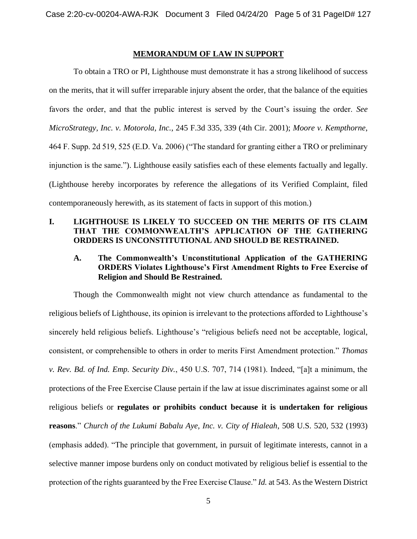#### **MEMORANDUM OF LAW IN SUPPORT**

To obtain a TRO or PI, Lighthouse must demonstrate it has a strong likelihood of success on the merits, that it will suffer irreparable injury absent the order, that the balance of the equities favors the order, and that the public interest is served by the Court's issuing the order. *See MicroStrategy, Inc. v. Motorola, Inc.*, 245 F.3d 335, 339 (4th Cir. 2001); *Moore v. Kempthorne*, 464 F. Supp. 2d 519, 525 (E.D. Va. 2006) ("The standard for granting either a TRO or preliminary injunction is the same."). Lighthouse easily satisfies each of these elements factually and legally. (Lighthouse hereby incorporates by reference the allegations of its Verified Complaint, filed contemporaneously herewith, as its statement of facts in support of this motion.)

# **I. LIGHTHOUSE IS LIKELY TO SUCCEED ON THE MERITS OF ITS CLAIM THAT THE COMMONWEALTH'S APPLICATION OF THE GATHERING ORDDERS IS UNCONSTITUTIONAL AND SHOULD BE RESTRAINED.**

# **A. The Commonwealth's Unconstitutional Application of the GATHERING ORDERS Violates Lighthouse's First Amendment Rights to Free Exercise of Religion and Should Be Restrained.**

Though the Commonwealth might not view church attendance as fundamental to the religious beliefs of Lighthouse, its opinion is irrelevant to the protections afforded to Lighthouse's sincerely held religious beliefs. Lighthouse's "religious beliefs need not be acceptable, logical, consistent, or comprehensible to others in order to merits First Amendment protection." *Thomas v. Rev. Bd. of Ind. Emp. Security Div.*, 450 U.S. 707, 714 (1981). Indeed, "[a]t a minimum, the protections of the Free Exercise Clause pertain if the law at issue discriminates against some or all religious beliefs or **regulates or prohibits conduct because it is undertaken for religious reasons**." *Church of the Lukumi Babalu Aye, Inc. v. City of Hialeah*, 508 U.S. 520, 532 (1993) (emphasis added). "The principle that government, in pursuit of legitimate interests, cannot in a selective manner impose burdens only on conduct motivated by religious belief is essential to the protection of the rights guaranteed by the Free Exercise Clause." *Id.* at 543. As the Western District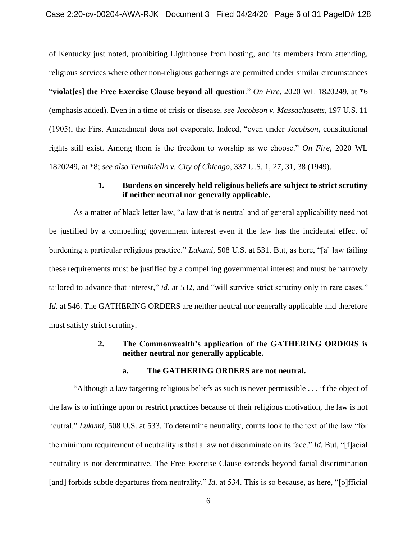of Kentucky just noted, prohibiting Lighthouse from hosting, and its members from attending, religious services where other non-religious gatherings are permitted under similar circumstances "**violat[es] the Free Exercise Clause beyond all question**." *On Fire*, 2020 WL 1820249, at \*6 (emphasis added). Even in a time of crisis or disease, *see Jacobson v. Massachusetts*, 197 U.S. 11 (1905), the First Amendment does not evaporate. Indeed, "even under *Jacobson*, constitutional rights still exist. Among them is the freedom to worship as we choose." *On Fire*, 2020 WL 1820249, at \*8; *see also Terminiello v. City of Chicago*, 337 U.S. 1, 27, 31, 38 (1949).

### **1. Burdens on sincerely held religious beliefs are subject to strict scrutiny if neither neutral nor generally applicable.**

As a matter of black letter law, "a law that is neutral and of general applicability need not be justified by a compelling government interest even if the law has the incidental effect of burdening a particular religious practice." *Lukumi*, 508 U.S. at 531. But, as here, "[a] law failing these requirements must be justified by a compelling governmental interest and must be narrowly tailored to advance that interest," *id.* at 532, and "will survive strict scrutiny only in rare cases." *Id.* at 546. The GATHERING ORDERS are neither neutral nor generally applicable and therefore must satisfy strict scrutiny.

### **2. The Commonwealth's application of the GATHERING ORDERS is neither neutral nor generally applicable.**

#### **a. The GATHERING ORDERS are not neutral.**

"Although a law targeting religious beliefs as such is never permissible . . . if the object of the law is to infringe upon or restrict practices because of their religious motivation, the law is not neutral." *Lukumi*, 508 U.S. at 533. To determine neutrality, courts look to the text of the law "for the minimum requirement of neutrality is that a law not discriminate on its face." *Id.* But, "[f]acial neutrality is not determinative. The Free Exercise Clause extends beyond facial discrimination [and] forbids subtle departures from neutrality." *Id.* at 534. This is so because, as here, "[o]fficial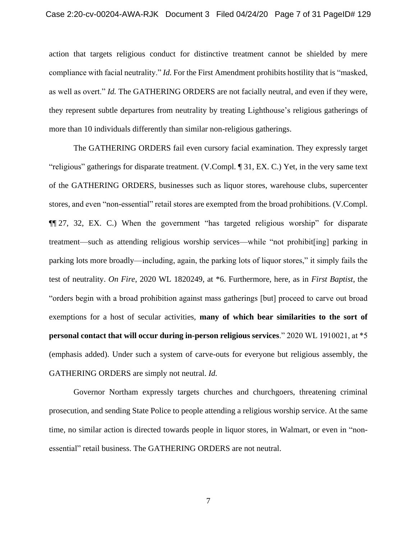action that targets religious conduct for distinctive treatment cannot be shielded by mere compliance with facial neutrality." *Id.* For the First Amendment prohibits hostility that is "masked, as well as overt." *Id.* The GATHERING ORDERS are not facially neutral, and even if they were, they represent subtle departures from neutrality by treating Lighthouse's religious gatherings of more than 10 individuals differently than similar non-religious gatherings.

The GATHERING ORDERS fail even cursory facial examination. They expressly target "religious" gatherings for disparate treatment. (V.Compl. ¶ 31, EX. C.) Yet, in the very same text of the GATHERING ORDERS, businesses such as liquor stores, warehouse clubs, supercenter stores, and even "non-essential" retail stores are exempted from the broad prohibitions. (V.Compl. ¶¶ 27, 32, EX. C.) When the government "has targeted religious worship" for disparate treatment—such as attending religious worship services—while "not prohibit[ing] parking in parking lots more broadly—including, again, the parking lots of liquor stores," it simply fails the test of neutrality. *On Fire*, 2020 WL 1820249, at \*6. Furthermore, here, as in *First Baptist*, the "orders begin with a broad prohibition against mass gatherings [but] proceed to carve out broad exemptions for a host of secular activities, **many of which bear similarities to the sort of personal contact that will occur during in-person religious services**." 2020 WL 1910021, at \*5 (emphasis added). Under such a system of carve-outs for everyone but religious assembly, the GATHERING ORDERS are simply not neutral. *Id.*

Governor Northam expressly targets churches and churchgoers, threatening criminal prosecution, and sending State Police to people attending a religious worship service. At the same time, no similar action is directed towards people in liquor stores, in Walmart, or even in "nonessential" retail business. The GATHERING ORDERS are not neutral.

7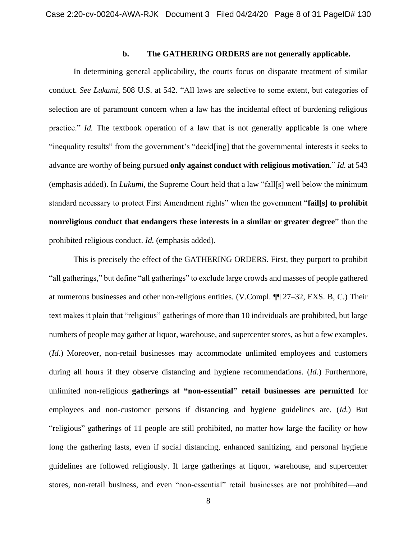### **b. The GATHERING ORDERS are not generally applicable.**

In determining general applicability, the courts focus on disparate treatment of similar conduct. *See Lukumi*, 508 U.S. at 542. "All laws are selective to some extent, but categories of selection are of paramount concern when a law has the incidental effect of burdening religious practice." *Id.* The textbook operation of a law that is not generally applicable is one where "inequality results" from the government's "decid[ing] that the governmental interests it seeks to advance are worthy of being pursued **only against conduct with religious motivation**." *Id.* at 543 (emphasis added). In *Lukumi*, the Supreme Court held that a law "fall[s] well below the minimum standard necessary to protect First Amendment rights" when the government "**fail[s] to prohibit nonreligious conduct that endangers these interests in a similar or greater degree**" than the prohibited religious conduct. *Id.* (emphasis added).

This is precisely the effect of the GATHERING ORDERS. First, they purport to prohibit "all gatherings," but define "all gatherings" to exclude large crowds and masses of people gathered at numerous businesses and other non-religious entities. (V.Compl. ¶¶ 27–32, EXS. B, C.) Their text makes it plain that "religious" gatherings of more than 10 individuals are prohibited, but large numbers of people may gather at liquor, warehouse, and supercenter stores, as but a few examples. (*Id.*) Moreover, non-retail businesses may accommodate unlimited employees and customers during all hours if they observe distancing and hygiene recommendations. (*Id.*) Furthermore, unlimited non-religious **gatherings at "non-essential" retail businesses are permitted** for employees and non-customer persons if distancing and hygiene guidelines are. (*Id.*) But "religious" gatherings of 11 people are still prohibited, no matter how large the facility or how long the gathering lasts, even if social distancing, enhanced sanitizing, and personal hygiene guidelines are followed religiously. If large gatherings at liquor, warehouse, and supercenter stores, non-retail business, and even "non-essential" retail businesses are not prohibited—and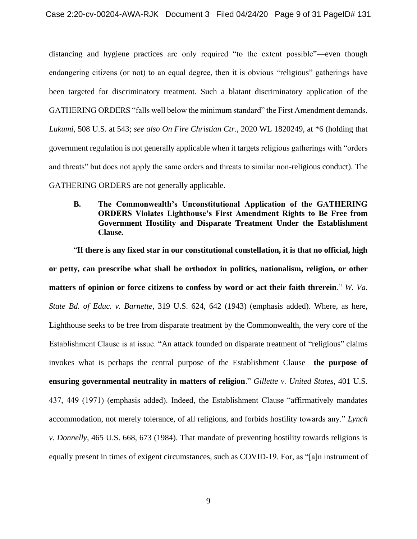distancing and hygiene practices are only required "to the extent possible"—even though endangering citizens (or not) to an equal degree, then it is obvious "religious" gatherings have been targeted for discriminatory treatment. Such a blatant discriminatory application of the GATHERING ORDERS "falls well below the minimum standard" the First Amendment demands. *Lukumi*, 508 U.S. at 543; *see also On Fire Christian Ctr.*, 2020 WL 1820249, at \*6 (holding that government regulation is not generally applicable when it targets religious gatherings with "orders and threats" but does not apply the same orders and threats to similar non-religious conduct). The GATHERING ORDERS are not generally applicable.

**B. The Commonwealth's Unconstitutional Application of the GATHERING ORDERS Violates Lighthouse's First Amendment Rights to Be Free from Government Hostility and Disparate Treatment Under the Establishment Clause.**

"**If there is any fixed star in our constitutional constellation, it is that no official, high or petty, can prescribe what shall be orthodox in politics, nationalism, religion, or other matters of opinion or force citizens to confess by word or act their faith threrein**." *W. Va. State Bd. of Educ. v. Barnette*, 319 U.S. 624, 642 (1943) (emphasis added). Where, as here, Lighthouse seeks to be free from disparate treatment by the Commonwealth, the very core of the Establishment Clause is at issue. "An attack founded on disparate treatment of "religious" claims invokes what is perhaps the central purpose of the Establishment Clause—**the purpose of ensuring governmental neutrality in matters of religion**." *Gillette v. United States*, 401 U.S. 437, 449 (1971) (emphasis added). Indeed, the Establishment Clause "affirmatively mandates accommodation, not merely tolerance, of all religions, and forbids hostility towards any." *Lynch v. Donnelly*, 465 U.S. 668, 673 (1984). That mandate of preventing hostility towards religions is equally present in times of exigent circumstances, such as COVID-19. For, as "[a]n instrument of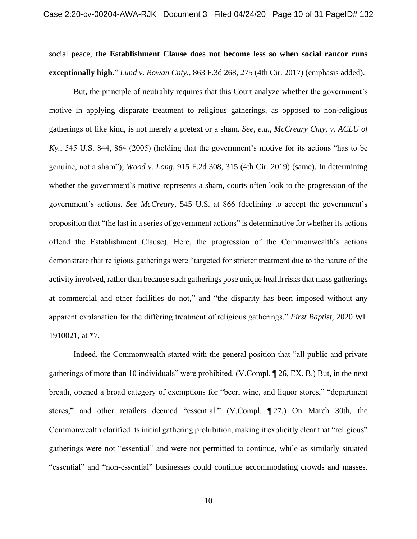social peace, **the Establishment Clause does not become less so when social rancor runs exceptionally high**." *Lund v. Rowan Cnty.*, 863 F.3d 268, 275 (4th Cir. 2017) (emphasis added).

But, the principle of neutrality requires that this Court analyze whether the government's motive in applying disparate treatment to religious gatherings, as opposed to non-religious gatherings of like kind, is not merely a pretext or a sham. *See, e.g.*, *McCreary Cnty. v. ACLU of Ky.*, 545 U.S. 844, 864 (2005) (holding that the government's motive for its actions "has to be genuine, not a sham"); *Wood v. Long*, 915 F.2d 308, 315 (4th Cir. 2019) (same). In determining whether the government's motive represents a sham, courts often look to the progression of the government's actions. *See McCreary*, 545 U.S. at 866 (declining to accept the government's proposition that "the last in a series of government actions" is determinative for whether its actions offend the Establishment Clause). Here, the progression of the Commonwealth's actions demonstrate that religious gatherings were "targeted for stricter treatment due to the nature of the activity involved, rather than because such gatherings pose unique health risks that mass gatherings at commercial and other facilities do not," and "the disparity has been imposed without any apparent explanation for the differing treatment of religious gatherings." *First Baptist*, 2020 WL 1910021, at \*7.

Indeed, the Commonwealth started with the general position that "all public and private gatherings of more than 10 individuals" were prohibited. (V.Compl. ¶ 26, EX. B.) But, in the next breath, opened a broad category of exemptions for "beer, wine, and liquor stores," "department stores," and other retailers deemed "essential." (V.Compl. ¶ 27.) On March 30th, the Commonwealth clarified its initial gathering prohibition, making it explicitly clear that "religious" gatherings were not "essential" and were not permitted to continue, while as similarly situated "essential" and "non-essential" businesses could continue accommodating crowds and masses.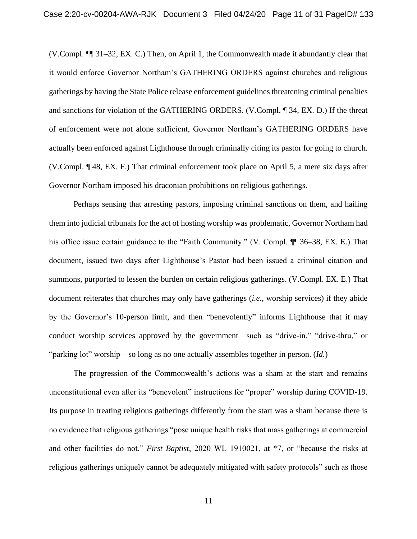(V.Compl. ¶¶ 31–32, EX. C.) Then, on April 1, the Commonwealth made it abundantly clear that it would enforce Governor Northam's GATHERING ORDERS against churches and religious gatherings by having the State Police release enforcement guidelines threatening criminal penalties and sanctions for violation of the GATHERING ORDERS. (V.Compl. ¶ 34, EX. D.) If the threat of enforcement were not alone sufficient, Governor Northam's GATHERING ORDERS have actually been enforced against Lighthouse through criminally citing its pastor for going to church. (V.Compl. ¶ 48, EX. F.) That criminal enforcement took place on April 5, a mere six days after Governor Northam imposed his draconian prohibitions on religious gatherings.

Perhaps sensing that arresting pastors, imposing criminal sanctions on them, and hailing them into judicial tribunals for the act of hosting worship was problematic, Governor Northam had his office issue certain guidance to the "Faith Community." (V. Compl. ¶ 36–38, EX. E.) That document, issued two days after Lighthouse's Pastor had been issued a criminal citation and summons, purported to lessen the burden on certain religious gatherings. (V.Compl. EX. E.) That document reiterates that churches may only have gatherings (*i.e.*, worship services) if they abide by the Governor's 10-person limit, and then "benevolently" informs Lighthouse that it may conduct worship services approved by the government—such as "drive-in," "drive-thru," or "parking lot" worship—so long as no one actually assembles together in person. (*Id.*)

The progression of the Commonwealth's actions was a sham at the start and remains unconstitutional even after its "benevolent" instructions for "proper" worship during COVID-19. Its purpose in treating religious gatherings differently from the start was a sham because there is no evidence that religious gatherings "pose unique health risks that mass gatherings at commercial and other facilities do not," *First Baptist*, 2020 WL 1910021, at \*7, or "because the risks at religious gatherings uniquely cannot be adequately mitigated with safety protocols" such as those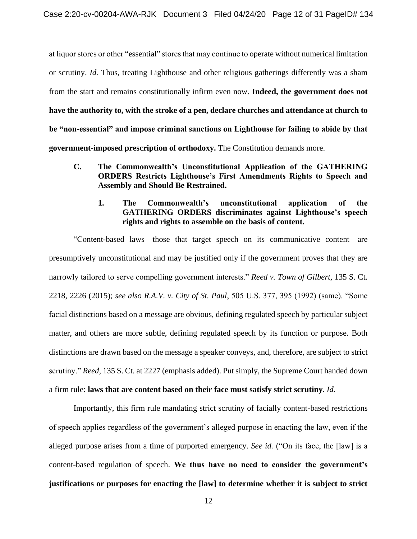at liquor stores or other "essential" stores that may continue to operate without numerical limitation or scrutiny. *Id.* Thus, treating Lighthouse and other religious gatherings differently was a sham from the start and remains constitutionally infirm even now. **Indeed, the government does not have the authority to, with the stroke of a pen, declare churches and attendance at church to be "non-essential" and impose criminal sanctions on Lighthouse for failing to abide by that government-imposed prescription of orthodoxy.** The Constitution demands more.

- **C. The Commonwealth's Unconstitutional Application of the GATHERING ORDERS Restricts Lighthouse's First Amendments Rights to Speech and Assembly and Should Be Restrained.**
	- **1. The Commonwealth's unconstitutional application of the GATHERING ORDERS discriminates against Lighthouse's speech rights and rights to assemble on the basis of content.**

"Content-based laws—those that target speech on its communicative content—are presumptively unconstitutional and may be justified only if the government proves that they are narrowly tailored to serve compelling government interests." *Reed v. Town of Gilbert*, 135 S. Ct. 2218, 2226 (2015); *see also R.A.V. v. City of St. Paul*, 505 U.S. 377, 395 (1992) (same). "Some facial distinctions based on a message are obvious, defining regulated speech by particular subject matter, and others are more subtle, defining regulated speech by its function or purpose. Both distinctions are drawn based on the message a speaker conveys, and, therefore, are subject to strict scrutiny." *Reed*, 135 S. Ct. at 2227 (emphasis added). Put simply, the Supreme Court handed down a firm rule: **laws that are content based on their face must satisfy strict scrutiny**. *Id.*

Importantly, this firm rule mandating strict scrutiny of facially content-based restrictions of speech applies regardless of the government's alleged purpose in enacting the law, even if the alleged purpose arises from a time of purported emergency. *See id.* ("On its face, the [law] is a content-based regulation of speech. **We thus have no need to consider the government's justifications or purposes for enacting the [law] to determine whether it is subject to strict**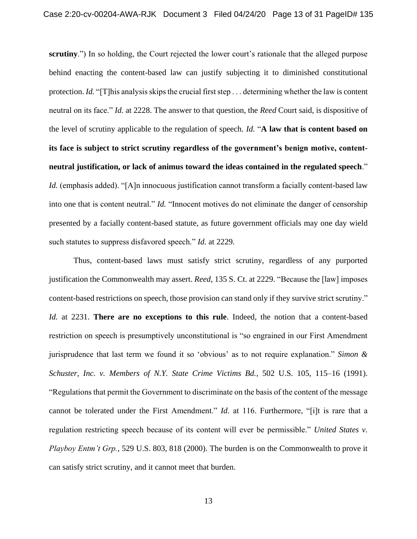**scrutiny**.") In so holding, the Court rejected the lower court's rationale that the alleged purpose behind enacting the content-based law can justify subjecting it to diminished constitutional protection. *Id.* "[T]his analysis skips the crucial first step . . . determining whether the law is content neutral on its face." *Id.* at 2228. The answer to that question, the *Reed* Court said, is dispositive of the level of scrutiny applicable to the regulation of speech. *Id.* "**A law that is content based on its face is subject to strict scrutiny regardless of the government's benign motive, contentneutral justification, or lack of animus toward the ideas contained in the regulated speech**." *Id.* (emphasis added). "[A]n innocuous justification cannot transform a facially content-based law into one that is content neutral." *Id.* "Innocent motives do not eliminate the danger of censorship presented by a facially content-based statute, as future government officials may one day wield such statutes to suppress disfavored speech." *Id.* at 2229.

Thus, content-based laws must satisfy strict scrutiny, regardless of any purported justification the Commonwealth may assert. *Reed*, 135 S. Ct. at 2229. "Because the [law] imposes content-based restrictions on speech, those provision can stand only if they survive strict scrutiny." *Id.* at 2231. **There are no exceptions to this rule**. Indeed, the notion that a content-based restriction on speech is presumptively unconstitutional is "so engrained in our First Amendment jurisprudence that last term we found it so 'obvious' as to not require explanation." *Simon & Schuster, Inc. v. Members of N.Y. State Crime Victims Bd.*, 502 U.S. 105, 115–16 (1991). "Regulations that permit the Government to discriminate on the basis of the content of the message cannot be tolerated under the First Amendment." *Id.* at 116. Furthermore, "[i]t is rare that a regulation restricting speech because of its content will ever be permissible." *United States v. Playboy Entm't Grp.*, 529 U.S. 803, 818 (2000). The burden is on the Commonwealth to prove it can satisfy strict scrutiny, and it cannot meet that burden.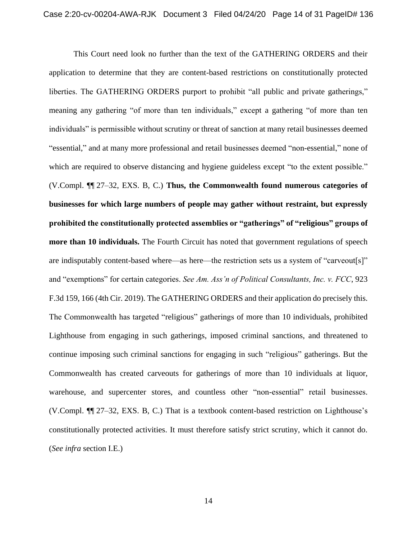This Court need look no further than the text of the GATHERING ORDERS and their application to determine that they are content-based restrictions on constitutionally protected liberties. The GATHERING ORDERS purport to prohibit "all public and private gatherings," meaning any gathering "of more than ten individuals," except a gathering "of more than ten individuals" is permissible without scrutiny or threat of sanction at many retail businesses deemed "essential," and at many more professional and retail businesses deemed "non-essential," none of which are required to observe distancing and hygiene guideless except "to the extent possible." (V.Compl. ¶¶ 27–32, EXS. B, C.) **Thus, the Commonwealth found numerous categories of businesses for which large numbers of people may gather without restraint, but expressly prohibited the constitutionally protected assemblies or "gatherings" of "religious" groups of more than 10 individuals.** The Fourth Circuit has noted that government regulations of speech are indisputably content-based where—as here—the restriction sets us a system of "carveout[s]" and "exemptions" for certain categories. *See Am. Ass'n of Political Consultants, Inc. v. FCC*, 923 F.3d 159, 166 (4th Cir. 2019). The GATHERING ORDERS and their application do precisely this. The Commonwealth has targeted "religious" gatherings of more than 10 individuals, prohibited Lighthouse from engaging in such gatherings, imposed criminal sanctions, and threatened to continue imposing such criminal sanctions for engaging in such "religious" gatherings. But the Commonwealth has created carveouts for gatherings of more than 10 individuals at liquor, warehouse, and supercenter stores, and countless other "non-essential" retail businesses. (V.Compl. ¶¶ 27–32, EXS. B, C.) That is a textbook content-based restriction on Lighthouse's constitutionally protected activities. It must therefore satisfy strict scrutiny, which it cannot do. (*See infra* section I.E.)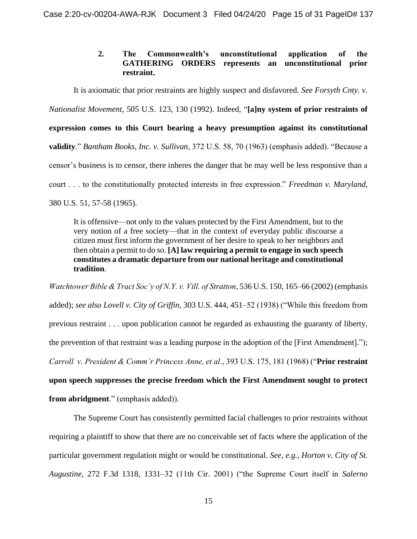# **2. The Commonwealth's unconstitutional application of the GATHERING ORDERS represents an unconstitutional prior restraint.**

It is axiomatic that prior restraints are highly suspect and disfavored. *See Forsyth Cnty. v. Nationalist Movement*, 505 U.S. 123, 130 (1992). Indeed, "**[a]ny system of prior restraints of expression comes to this Court bearing a heavy presumption against its constitutional validity**." *Bantham Books, Inc. v. Sullivan*, 372 U.S. 58, 70 (1963) (emphasis added). "Because a censor's business is to censor, there inheres the danger that he may well be less responsive than a court . . . to the constitutionally protected interests in free expression." *Freedman v. Maryland*, 380 U.S. 51, 57-58 (1965).

It is offensive—not only to the values protected by the First Amendment, but to the very notion of a free society—that in the context of everyday public discourse a citizen must first inform the government of her desire to speak to her neighbors and then obtain a permit to do so. **[A] law requiring a permit to engage in such speech constitutes a dramatic departure from our national heritage and constitutional tradition**.

*Watchtower Bible & Tract Soc'y of N.Y. v. Vill. of Stratton*, 536 U.S. 150, 165–66 (2002) (emphasis added); *see also Lovell v. City of Griffin*, 303 U.S. 444, 451–52 (1938) ("While this freedom from previous restraint . . . upon publication cannot be regarded as exhausting the guaranty of liberty, the prevention of that restraint was a leading purpose in the adoption of the [First Amendment]."); *Carroll v. President & Comm'r Princess Anne, et al.*, 393 U.S. 175, 181 (1968) ("**Prior restraint upon speech suppresses the precise freedom which the First Amendment sought to protect from abridgment**." (emphasis added)).

The Supreme Court has consistently permitted facial challenges to prior restraints without requiring a plaintiff to show that there are no conceivable set of facts where the application of the particular government regulation might or would be constitutional. *See, e.g.*, *Horton v. City of St. Augustine*, 272 F.3d 1318, 1331–32 (11th Cir. 2001) ("the Supreme Court itself in *Salerno*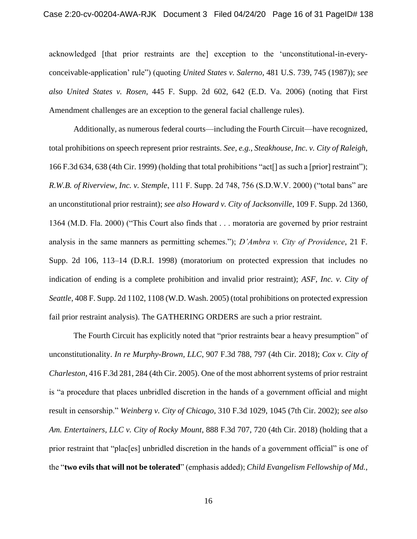acknowledged [that prior restraints are the] exception to the 'unconstitutional-in-everyconceivable-application' rule") (quoting *United States v. Salerno*, 481 U.S. 739, 745 (1987)); *see also United States v. Rosen*, 445 F. Supp. 2d 602, 642 (E.D. Va. 2006) (noting that First Amendment challenges are an exception to the general facial challenge rules).

Additionally, as numerous federal courts—including the Fourth Circuit—have recognized, total prohibitions on speech represent prior restraints. *See, e.g.*, *Steakhouse, Inc. v. City of Raleigh*, 166 F.3d 634, 638 (4th Cir. 1999) (holding that total prohibitions "act[] as such a [prior] restraint"); *R.W.B. of Riverview, Inc. v. Stemple*, 111 F. Supp. 2d 748, 756 (S.D.W.V. 2000) ("total bans" are an unconstitutional prior restraint); *see also Howard v. City of Jacksonville*, 109 F. Supp. 2d 1360, 1364 (M.D. Fla. 2000) ("This Court also finds that . . . moratoria are governed by prior restraint analysis in the same manners as permitting schemes."); *D'Ambra v. City of Providence*, 21 F. Supp. 2d 106, 113–14 (D.R.I. 1998) (moratorium on protected expression that includes no indication of ending is a complete prohibition and invalid prior restraint); *ASF, Inc. v. City of Seattle*, 408 F. Supp. 2d 1102, 1108 (W.D. Wash. 2005) (total prohibitions on protected expression fail prior restraint analysis). The GATHERING ORDERS are such a prior restraint.

The Fourth Circuit has explicitly noted that "prior restraints bear a heavy presumption" of unconstitutionality. *In re Murphy-Brown, LLC*, 907 F.3d 788, 797 (4th Cir. 2018); *Cox v. City of Charleston*, 416 F.3d 281, 284 (4th Cir. 2005). One of the most abhorrent systems of prior restraint is "a procedure that places unbridled discretion in the hands of a government official and might result in censorship." *Weinberg v. City of Chicago*, 310 F.3d 1029, 1045 (7th Cir. 2002); *see also Am. Entertainers, LLC v. City of Rocky Mount*, 888 F.3d 707, 720 (4th Cir. 2018) (holding that a prior restraint that "plac[es] unbridled discretion in the hands of a government official" is one of the "**two evils that will not be tolerated**" (emphasis added); *Child Evangelism Fellowship of Md.,*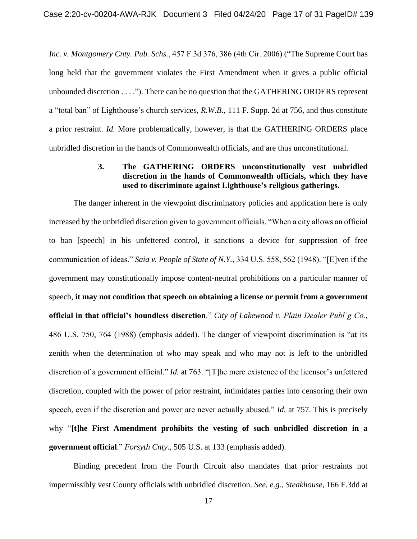*Inc. v. Montgomery Cnty. Pub. Schs.*, 457 F.3d 376, 386 (4th Cir. 2006) ("The Supreme Court has long held that the government violates the First Amendment when it gives a public official unbounded discretion . . . ."). There can be no question that the GATHERING ORDERS represent a "total ban" of Lighthouse's church services, *R.W.B.*, 111 F. Supp. 2d at 756, and thus constitute a prior restraint. *Id.* More problematically, however, is that the GATHERING ORDERS place unbridled discretion in the hands of Commonwealth officials, and are thus unconstitutional.

# **3. The GATHERING ORDERS unconstitutionally vest unbridled discretion in the hands of Commonwealth officials, which they have used to discriminate against Lighthouse's religious gatherings.**

The danger inherent in the viewpoint discriminatory policies and application here is only increased by the unbridled discretion given to government officials. "When a city allows an official to ban [speech] in his unfettered control, it sanctions a device for suppression of free communication of ideas." *Saia v. People of State of N.Y.*, 334 U.S. 558, 562 (1948). "[E]ven if the government may constitutionally impose content-neutral prohibitions on a particular manner of speech, **it may not condition that speech on obtaining a license or permit from a government official in that official's boundless discretion**." *City of Lakewood v. Plain Dealer Publ'g Co.*, 486 U.S. 750, 764 (1988) (emphasis added). The danger of viewpoint discrimination is "at its zenith when the determination of who may speak and who may not is left to the unbridled discretion of a government official." *Id.* at 763. "[T]he mere existence of the licensor's unfettered discretion, coupled with the power of prior restraint, intimidates parties into censoring their own speech, even if the discretion and power are never actually abused." *Id.* at 757. This is precisely why "**[t]he First Amendment prohibits the vesting of such unbridled discretion in a government official**." *Forsyth Cnty.*, 505 U.S. at 133 (emphasis added).

Binding precedent from the Fourth Circuit also mandates that prior restraints not impermissibly vest County officials with unbridled discretion. *See, e.g.*, *Steakhouse*, 166 F.3dd at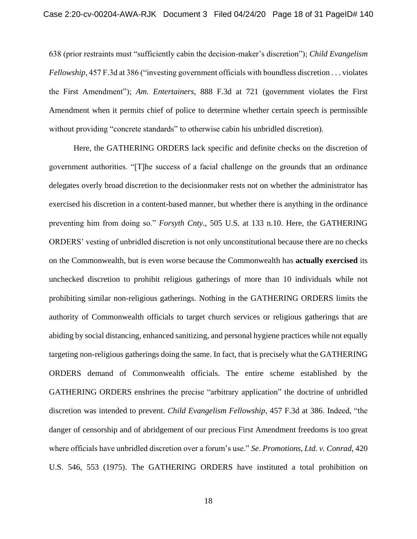638 (prior restraints must "sufficiently cabin the decision-maker's discretion"); *Child Evangelism Fellowship*, 457 F.3d at 386 ("investing government officials with boundless discretion . . . violates the First Amendment"); *Am. Entertainers*, 888 F.3d at 721 (government violates the First Amendment when it permits chief of police to determine whether certain speech is permissible without providing "concrete standards" to otherwise cabin his unbridled discretion).

Here, the GATHERING ORDERS lack specific and definite checks on the discretion of government authorities. "[T]he success of a facial challenge on the grounds that an ordinance delegates overly broad discretion to the decisionmaker rests not on whether the administrator has exercised his discretion in a content-based manner, but whether there is anything in the ordinance preventing him from doing so." *Forsyth Cnty.*, 505 U.S. at 133 n.10. Here, the GATHERING ORDERS' vesting of unbridled discretion is not only unconstitutional because there are no checks on the Commonwealth, but is even worse because the Commonwealth has **actually exercised** its unchecked discretion to prohibit religious gatherings of more than 10 individuals while not prohibiting similar non-religious gatherings. Nothing in the GATHERING ORDERS limits the authority of Commonwealth officials to target church services or religious gatherings that are abiding by social distancing, enhanced sanitizing, and personal hygiene practices while not equally targeting non-religious gatherings doing the same. In fact, that is precisely what the GATHERING ORDERS demand of Commonwealth officials. The entire scheme established by the GATHERING ORDERS enshrines the precise "arbitrary application" the doctrine of unbridled discretion was intended to prevent. *Child Evangelism Fellowship*, 457 F.3d at 386. Indeed, "the danger of censorship and of abridgement of our precious First Amendment freedoms is too great where officials have unbridled discretion over a forum's use." *Se. Promotions, Ltd. v. Conrad*, 420 U.S. 546, 553 (1975). The GATHERING ORDERS have instituted a total prohibition on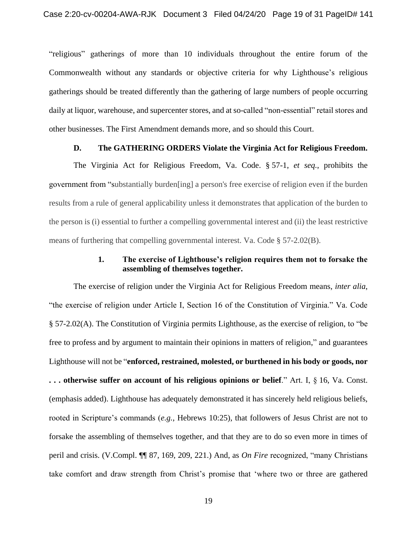"religious" gatherings of more than 10 individuals throughout the entire forum of the Commonwealth without any standards or objective criteria for why Lighthouse's religious gatherings should be treated differently than the gathering of large numbers of people occurring daily at liquor, warehouse, and supercenter stores, and at so-called "non-essential" retail stores and other businesses. The First Amendment demands more, and so should this Court.

#### **D. The GATHERING ORDERS Violate the Virginia Act for Religious Freedom.**

The Virginia Act for Religious Freedom, Va. Code. § 57-1, *et seq.*, prohibits the government from "substantially burden[ing] a person's free exercise of religion even if the burden results from a rule of general applicability unless it demonstrates that application of the burden to the person is (i) essential to further a compelling governmental interest and (ii) the least restrictive means of furthering that compelling governmental interest. Va. Code § 57-2.02(B).

## **1. The exercise of Lighthouse's religion requires them not to forsake the assembling of themselves together.**

The exercise of religion under the Virginia Act for Religious Freedom means, *inter alia*, "the exercise of religion under Article I, Section 16 of the Constitution of Virginia." Va. Code § 57-2.02(A). The Constitution of Virginia permits Lighthouse, as the exercise of religion, to "be free to profess and by argument to maintain their opinions in matters of religion," and guarantees Lighthouse will not be "**enforced, restrained, molested, or burthened in his body or goods, nor . . . otherwise suffer on account of his religious opinions or belief**." Art. I, § 16, Va. Const. (emphasis added). Lighthouse has adequately demonstrated it has sincerely held religious beliefs, rooted in Scripture's commands (*e.g.*, Hebrews 10:25), that followers of Jesus Christ are not to forsake the assembling of themselves together, and that they are to do so even more in times of peril and crisis. (V.Compl. ¶¶ 87, 169, 209, 221.) And, as *On Fire* recognized, "many Christians take comfort and draw strength from Christ's promise that 'where two or three are gathered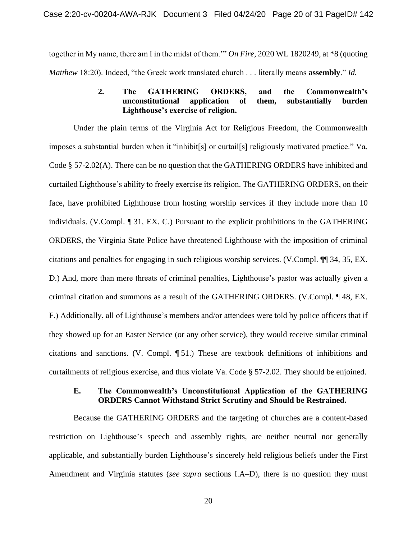together in My name, there am I in the midst of them.'" *On Fire*, 2020 WL 1820249, at \*8 (quoting *Matthew* 18:20). Indeed, "the Greek work translated church . . . literally means **assembly**." *Id.*

### **2. The GATHERING ORDERS, and the Commonwealth's unconstitutional application of them, substantially burden Lighthouse's exercise of religion.**

Under the plain terms of the Virginia Act for Religious Freedom, the Commonwealth imposes a substantial burden when it "inhibit[s] or curtail[s] religiously motivated practice." Va. Code § 57-2.02(A). There can be no question that the GATHERING ORDERS have inhibited and curtailed Lighthouse's ability to freely exercise its religion. The GATHERING ORDERS, on their face, have prohibited Lighthouse from hosting worship services if they include more than 10 individuals. (V.Compl. ¶ 31, EX. C.) Pursuant to the explicit prohibitions in the GATHERING ORDERS, the Virginia State Police have threatened Lighthouse with the imposition of criminal citations and penalties for engaging in such religious worship services. (V.Compl. ¶¶ 34, 35, EX. D.) And, more than mere threats of criminal penalties, Lighthouse's pastor was actually given a criminal citation and summons as a result of the GATHERING ORDERS. (V.Compl. ¶ 48, EX. F.) Additionally, all of Lighthouse's members and/or attendees were told by police officers that if they showed up for an Easter Service (or any other service), they would receive similar criminal citations and sanctions. (V. Compl. ¶ 51.) These are textbook definitions of inhibitions and curtailments of religious exercise, and thus violate Va. Code § 57-2.02. They should be enjoined.

### **E. The Commonwealth's Unconstitutional Application of the GATHERING ORDERS Cannot Withstand Strict Scrutiny and Should be Restrained.**

Because the GATHERING ORDERS and the targeting of churches are a content-based restriction on Lighthouse's speech and assembly rights, are neither neutral nor generally applicable, and substantially burden Lighthouse's sincerely held religious beliefs under the First Amendment and Virginia statutes (*see supra* sections I.A–D), there is no question they must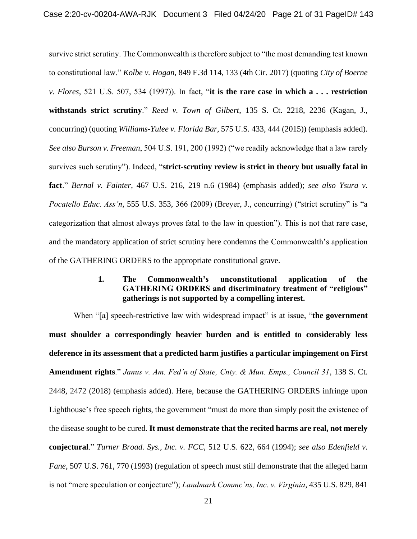survive strict scrutiny. The Commonwealth is therefore subject to "the most demanding test known to constitutional law." *Kolbe v. Hogan*, 849 F.3d 114, 133 (4th Cir. 2017) (quoting *City of Boerne v. Flores*, 521 U.S. 507, 534 (1997)). In fact, "**it is the rare case in which a . . . restriction withstands strict scrutiny**." *Reed v. Town of Gilbert*, 135 S. Ct. 2218, 2236 (Kagan, J., concurring) (quoting *Williams-Yulee v. Florida Bar*, 575 U.S. 433, 444 (2015)) (emphasis added). *See also Burson v. Freeman*, 504 U.S. 191, 200 (1992) ("we readily acknowledge that a law rarely survives such scrutiny"). Indeed, "**strict-scrutiny review is strict in theory but usually fatal in fact**." *Bernal v. Fainter*, 467 U.S. 216, 219 n.6 (1984) (emphasis added); *see also Ysura v. Pocatello Educ. Ass'n*, 555 U.S. 353, 366 (2009) (Breyer, J., concurring) ("strict scrutiny" is "a categorization that almost always proves fatal to the law in question"). This is not that rare case, and the mandatory application of strict scrutiny here condemns the Commonwealth's application of the GATHERING ORDERS to the appropriate constitutional grave.

# **1. The Commonwealth's unconstitutional application of the GATHERING ORDERS and discriminatory treatment of "religious" gatherings is not supported by a compelling interest.**

When "[a] speech-restrictive law with widespread impact" is at issue, "the government **must shoulder a correspondingly heavier burden and is entitled to considerably less deference in its assessment that a predicted harm justifies a particular impingement on First Amendment rights**." *Janus v. Am. Fed'n of State, Cnty. & Mun. Emps., Council 31*, 138 S. Ct. 2448, 2472 (2018) (emphasis added). Here, because the GATHERING ORDERS infringe upon Lighthouse's free speech rights, the government "must do more than simply posit the existence of the disease sought to be cured. **It must demonstrate that the recited harms are real, not merely conjectural**." *Turner Broad. Sys., Inc. v. FCC*, 512 U.S. 622, 664 (1994); *see also Edenfield v. Fane*, 507 U.S. 761, 770 (1993) (regulation of speech must still demonstrate that the alleged harm is not "mere speculation or conjecture"); *Landmark Commc'ns, Inc. v. Virginia*, 435 U.S. 829, 841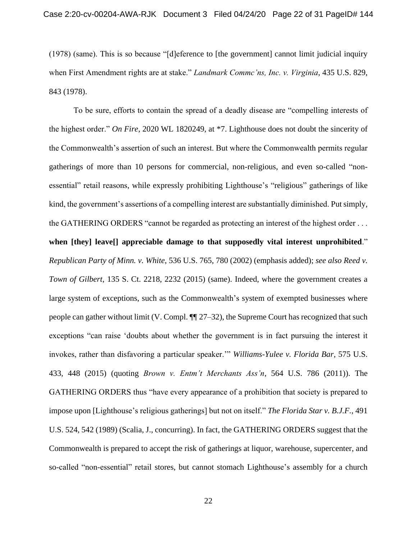(1978) (same). This is so because "[d]eference to [the government] cannot limit judicial inquiry when First Amendment rights are at stake." *Landmark Commc'ns, Inc. v. Virginia*, 435 U.S. 829, 843 (1978).

To be sure, efforts to contain the spread of a deadly disease are "compelling interests of the highest order." *On Fire*, 2020 WL 1820249, at \*7. Lighthouse does not doubt the sincerity of the Commonwealth's assertion of such an interest. But where the Commonwealth permits regular gatherings of more than 10 persons for commercial, non-religious, and even so-called "nonessential" retail reasons, while expressly prohibiting Lighthouse's "religious" gatherings of like kind, the government's assertions of a compelling interest are substantially diminished. Put simply, the GATHERING ORDERS "cannot be regarded as protecting an interest of the highest order . . .

**when [they] leave[] appreciable damage to that supposedly vital interest unprohibited**." *Republican Party of Minn. v. White*, 536 U.S. 765, 780 (2002) (emphasis added); *see also Reed v. Town of Gilbert*, 135 S. Ct. 2218, 2232 (2015) (same). Indeed, where the government creates a large system of exceptions, such as the Commonwealth's system of exempted businesses where people can gather without limit (V. Compl. ¶¶ 27–32), the Supreme Court has recognized that such exceptions "can raise 'doubts about whether the government is in fact pursuing the interest it invokes, rather than disfavoring a particular speaker.'" *Williams-Yulee v. Florida Bar*, 575 U.S. 433, 448 (2015) (quoting *Brown v. Entm't Merchants Ass'n*, 564 U.S. 786 (2011)). The GATHERING ORDERS thus "have every appearance of a prohibition that society is prepared to impose upon [Lighthouse's religious gatherings] but not on itself." *The Florida Star v. B.J.F.*, 491 U.S. 524, 542 (1989) (Scalia, J., concurring). In fact, the GATHERING ORDERS suggest that the Commonwealth is prepared to accept the risk of gatherings at liquor, warehouse, supercenter, and so-called "non-essential" retail stores, but cannot stomach Lighthouse's assembly for a church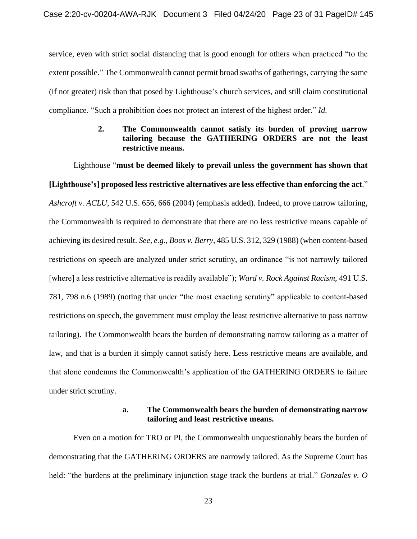service, even with strict social distancing that is good enough for others when practiced "to the extent possible." The Commonwealth cannot permit broad swaths of gatherings, carrying the same (if not greater) risk than that posed by Lighthouse's church services, and still claim constitutional compliance. "Such a prohibition does not protect an interest of the highest order." *Id.*

# **2. The Commonwealth cannot satisfy its burden of proving narrow tailoring because the GATHERING ORDERS are not the least restrictive means.**

Lighthouse "**must be deemed likely to prevail unless the government has shown that [Lighthouse's] proposed less restrictive alternatives are less effective than enforcing the act**." *Ashcroft v. ACLU*, 542 U.S. 656, 666 (2004) (emphasis added). Indeed, to prove narrow tailoring, the Commonwealth is required to demonstrate that there are no less restrictive means capable of achieving its desired result. *See, e.g.*, *Boos v. Berry*, 485 U.S. 312, 329 (1988) (when content-based restrictions on speech are analyzed under strict scrutiny, an ordinance "is not narrowly tailored [where] a less restrictive alternative is readily available"); *Ward v. Rock Against Racism*, 491 U.S. 781, 798 n.6 (1989) (noting that under "the most exacting scrutiny" applicable to content-based restrictions on speech, the government must employ the least restrictive alternative to pass narrow tailoring). The Commonwealth bears the burden of demonstrating narrow tailoring as a matter of law, and that is a burden it simply cannot satisfy here. Less restrictive means are available, and that alone condemns the Commonwealth's application of the GATHERING ORDERS to failure under strict scrutiny.

### **a. The Commonwealth bears the burden of demonstrating narrow tailoring and least restrictive means.**

Even on a motion for TRO or PI, the Commonwealth unquestionably bears the burden of demonstrating that the GATHERING ORDERS are narrowly tailored. As the Supreme Court has held: "the burdens at the preliminary injunction stage track the burdens at trial." *Gonzales v. O*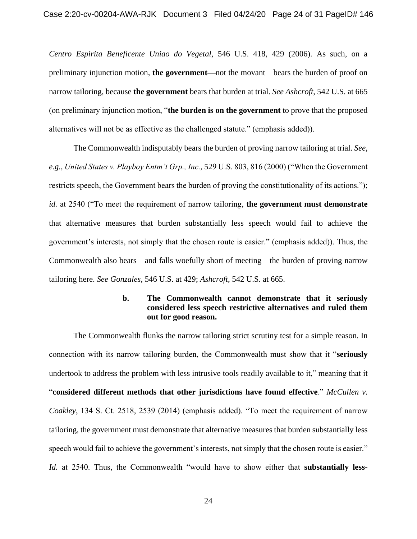*Centro Espirita Beneficente Uniao do Vegetal*, 546 U.S. 418, 429 (2006). As such, on a preliminary injunction motion, **the government—**not the movant—bears the burden of proof on narrow tailoring, because **the government** bears that burden at trial. *See Ashcroft*, 542 U.S. at 665 (on preliminary injunction motion, "**the burden is on the government** to prove that the proposed alternatives will not be as effective as the challenged statute." (emphasis added)).

The Commonwealth indisputably bears the burden of proving narrow tailoring at trial. *See, e.g.*, *United States v. Playboy Entm't Grp., Inc.*, 529 U.S. 803, 816 (2000) ("When the Government restricts speech, the Government bears the burden of proving the constitutionality of its actions."); *id.* at 2540 ("To meet the requirement of narrow tailoring, **the government must demonstrate** that alternative measures that burden substantially less speech would fail to achieve the government's interests, not simply that the chosen route is easier." (emphasis added)). Thus, the Commonwealth also bears—and falls woefully short of meeting—the burden of proving narrow tailoring here. *See Gonzales*, 546 U.S. at 429; *Ashcroft*, 542 U.S. at 665.

### **b. The Commonwealth cannot demonstrate that it seriously considered less speech restrictive alternatives and ruled them out for good reason.**

The Commonwealth flunks the narrow tailoring strict scrutiny test for a simple reason. In connection with its narrow tailoring burden, the Commonwealth must show that it "**seriously** undertook to address the problem with less intrusive tools readily available to it," meaning that it "**considered different methods that other jurisdictions have found effective**." *McCullen v. Coakley*, 134 S. Ct. 2518, 2539 (2014) (emphasis added). "To meet the requirement of narrow tailoring, the government must demonstrate that alternative measures that burden substantially less speech would fail to achieve the government's interests, not simply that the chosen route is easier." *Id.* at 2540. Thus, the Commonwealth "would have to show either that **substantially less-**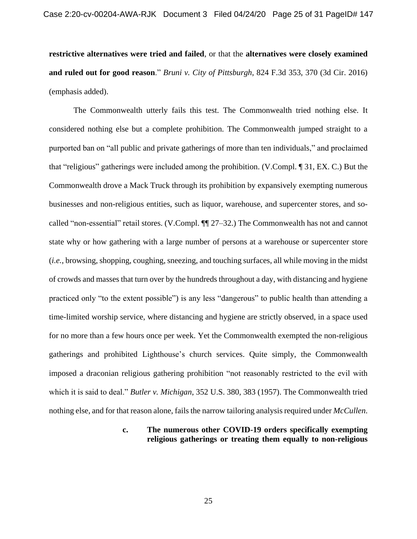**restrictive alternatives were tried and failed**, or that the **alternatives were closely examined and ruled out for good reason**." *Bruni v. City of Pittsburgh*, 824 F.3d 353, 370 (3d Cir. 2016) (emphasis added).

The Commonwealth utterly fails this test. The Commonwealth tried nothing else. It considered nothing else but a complete prohibition. The Commonwealth jumped straight to a purported ban on "all public and private gatherings of more than ten individuals," and proclaimed that "religious" gatherings were included among the prohibition. (V.Compl. ¶ 31, EX. C.) But the Commonwealth drove a Mack Truck through its prohibition by expansively exempting numerous businesses and non-religious entities, such as liquor, warehouse, and supercenter stores, and socalled "non-essential" retail stores. (V.Compl. ¶¶ 27–32.) The Commonwealth has not and cannot state why or how gathering with a large number of persons at a warehouse or supercenter store (*i.e.*, browsing, shopping, coughing, sneezing, and touching surfaces, all while moving in the midst of crowds and masses that turn over by the hundreds throughout a day, with distancing and hygiene practiced only "to the extent possible") is any less "dangerous" to public health than attending a time-limited worship service, where distancing and hygiene are strictly observed, in a space used for no more than a few hours once per week. Yet the Commonwealth exempted the non-religious gatherings and prohibited Lighthouse's church services. Quite simply, the Commonwealth imposed a draconian religious gathering prohibition "not reasonably restricted to the evil with which it is said to deal." *Butler v. Michigan*, 352 U.S. 380, 383 (1957). The Commonwealth tried nothing else, and for that reason alone, fails the narrow tailoring analysis required under *McCullen*.

### **c. The numerous other COVID-19 orders specifically exempting religious gatherings or treating them equally to non-religious**

25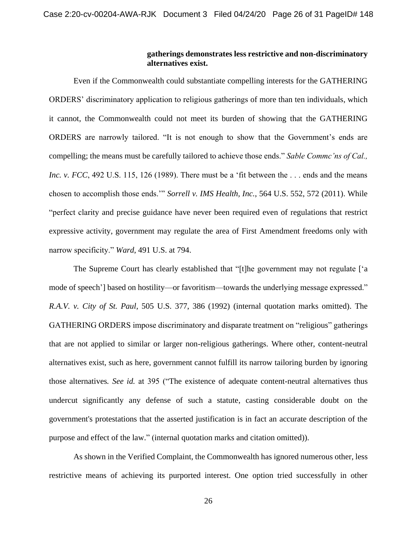### **gatherings demonstrates less restrictive and non-discriminatory alternatives exist.**

Even if the Commonwealth could substantiate compelling interests for the GATHERING ORDERS' discriminatory application to religious gatherings of more than ten individuals, which it cannot, the Commonwealth could not meet its burden of showing that the GATHERING ORDERS are narrowly tailored. "It is not enough to show that the Government's ends are compelling; the means must be carefully tailored to achieve those ends." *Sable Commc'ns of Cal., Inc. v. FCC*, 492 U.S. 115, 126 (1989). There must be a 'fit between the ... ends and the means chosen to accomplish those ends.'" *Sorrell v. IMS Health, Inc.*, 564 U.S. 552, 572 (2011). While "perfect clarity and precise guidance have never been required even of regulations that restrict expressive activity, government may regulate the area of First Amendment freedoms only with narrow specificity." *Ward*, 491 U.S. at 794.

The Supreme Court has clearly established that "[t]he government may not regulate ['a mode of speech'] based on hostility—or favoritism—towards the underlying message expressed." *R.A.V. v. City of St. Paul*, 505 U.S. 377, 386 (1992) (internal quotation marks omitted). The GATHERING ORDERS impose discriminatory and disparate treatment on "religious" gatherings that are not applied to similar or larger non-religious gatherings. Where other, content-neutral alternatives exist, such as here, government cannot fulfill its narrow tailoring burden by ignoring those alternatives*. See id.* at 395 ("The existence of adequate content-neutral alternatives thus undercut significantly any defense of such a statute, casting considerable doubt on the government's protestations that the asserted justification is in fact an accurate description of the purpose and effect of the law." (internal quotation marks and citation omitted)).

As shown in the Verified Complaint, the Commonwealth has ignored numerous other, less restrictive means of achieving its purported interest. One option tried successfully in other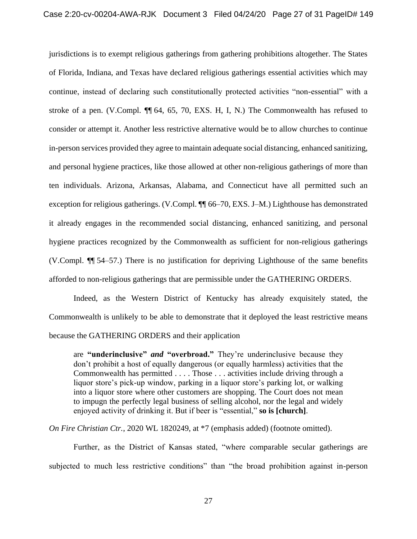jurisdictions is to exempt religious gatherings from gathering prohibitions altogether. The States of Florida, Indiana, and Texas have declared religious gatherings essential activities which may continue, instead of declaring such constitutionally protected activities "non-essential" with a stroke of a pen. (V.Compl. ¶¶ 64, 65, 70, EXS. H, I, N.) The Commonwealth has refused to consider or attempt it. Another less restrictive alternative would be to allow churches to continue in-person services provided they agree to maintain adequate social distancing, enhanced sanitizing, and personal hygiene practices, like those allowed at other non-religious gatherings of more than ten individuals. Arizona, Arkansas, Alabama, and Connecticut have all permitted such an exception for religious gatherings. (V.Compl. ¶¶ 66–70, EXS. J–M.) Lighthouse has demonstrated it already engages in the recommended social distancing, enhanced sanitizing, and personal hygiene practices recognized by the Commonwealth as sufficient for non-religious gatherings (V.Compl. ¶¶ 54–57.) There is no justification for depriving Lighthouse of the same benefits afforded to non-religious gatherings that are permissible under the GATHERING ORDERS.

Indeed, as the Western District of Kentucky has already exquisitely stated, the Commonwealth is unlikely to be able to demonstrate that it deployed the least restrictive means because the GATHERING ORDERS and their application

are **"underinclusive"** *and* **"overbroad."** They're underinclusive because they don't prohibit a host of equally dangerous (or equally harmless) activities that the Commonwealth has permitted . . . . Those . . . activities include driving through a liquor store's pick-up window, parking in a liquor store's parking lot, or walking into a liquor store where other customers are shopping. The Court does not mean to impugn the perfectly legal business of selling alcohol, nor the legal and widely enjoyed activity of drinking it. But if beer is "essential," **so is [church]**.

*On Fire Christian Ctr.*, 2020 WL 1820249, at \*7 (emphasis added) (footnote omitted).

Further, as the District of Kansas stated, "where comparable secular gatherings are subjected to much less restrictive conditions" than "the broad prohibition against in-person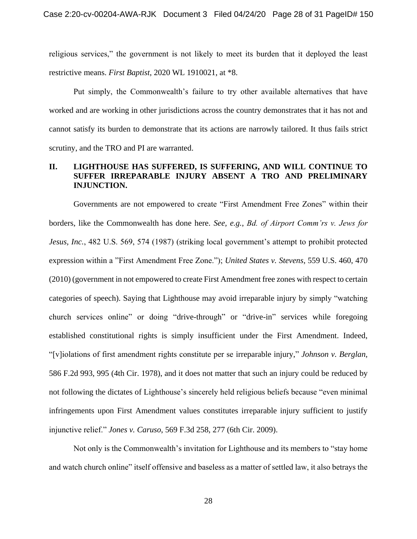religious services," the government is not likely to meet its burden that it deployed the least restrictive means. *First Baptist*, 2020 WL 1910021, at \*8.

Put simply, the Commonwealth's failure to try other available alternatives that have worked and are working in other jurisdictions across the country demonstrates that it has not and cannot satisfy its burden to demonstrate that its actions are narrowly tailored. It thus fails strict scrutiny, and the TRO and PI are warranted.

# **II. LIGHTHOUSE HAS SUFFERED, IS SUFFERING, AND WILL CONTINUE TO SUFFER IRREPARABLE INJURY ABSENT A TRO AND PRELIMINARY INJUNCTION.**

Governments are not empowered to create "First Amendment Free Zones" within their borders, like the Commonwealth has done here. *See, e.g.*, *Bd. of Airport Comm'rs v. Jews for Jesus, Inc.*, 482 U.S. 569, 574 (1987) (striking local government's attempt to prohibit protected expression within a "First Amendment Free Zone."); *United States v. Stevens*, 559 U.S. 460, 470 (2010) (government in not empowered to create First Amendment free zones with respect to certain categories of speech). Saying that Lighthouse may avoid irreparable injury by simply "watching church services online" or doing "drive-through" or "drive-in" services while foregoing established constitutional rights is simply insufficient under the First Amendment. Indeed, "[v]iolations of first amendment rights constitute per se irreparable injury," *Johnson v. Berglan*, 586 F.2d 993, 995 (4th Cir. 1978), and it does not matter that such an injury could be reduced by not following the dictates of Lighthouse's sincerely held religious beliefs because "even minimal infringements upon First Amendment values constitutes irreparable injury sufficient to justify injunctive relief." *Jones v. Caruso*, 569 F.3d 258, 277 (6th Cir. 2009).

Not only is the Commonwealth's invitation for Lighthouse and its members to "stay home and watch church online" itself offensive and baseless as a matter of settled law, it also betrays the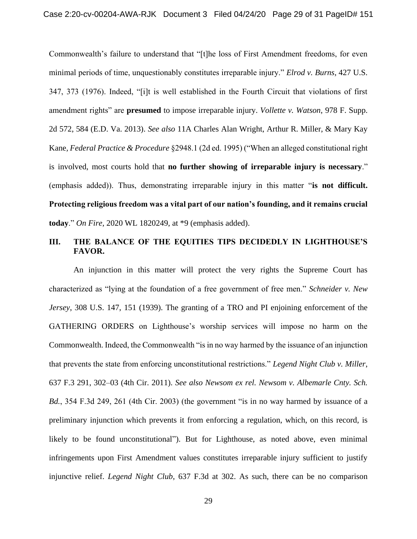Commonwealth's failure to understand that "[t]he loss of First Amendment freedoms, for even minimal periods of time, unquestionably constitutes irreparable injury." *Elrod v. Burns*, 427 U.S. 347, 373 (1976). Indeed, "[i]t is well established in the Fourth Circuit that violations of first amendment rights" are **presumed** to impose irreparable injury. *Vollette v. Watson*, 978 F. Supp. 2d 572, 584 (E.D. Va. 2013). *See also* 11A Charles Alan Wright, Arthur R. Miller, & Mary Kay Kane*, Federal Practice & Procedure* §2948.1 (2d ed. 1995) ("When an alleged constitutional right is involved, most courts hold that **no further showing of irreparable injury is necessary**." (emphasis added)). Thus, demonstrating irreparable injury in this matter "**is not difficult. Protecting religious freedom was a vital part of our nation's founding, and it remains crucial today**." *On Fire*, 2020 WL 1820249, at \*9 (emphasis added).

## **III. THE BALANCE OF THE EQUITIES TIPS DECIDEDLY IN LIGHTHOUSE'S FAVOR.**

An injunction in this matter will protect the very rights the Supreme Court has characterized as "lying at the foundation of a free government of free men." *Schneider v. New Jersey*, 308 U.S. 147, 151 (1939). The granting of a TRO and PI enjoining enforcement of the GATHERING ORDERS on Lighthouse's worship services will impose no harm on the Commonwealth. Indeed, the Commonwealth "is in no way harmed by the issuance of an injunction that prevents the state from enforcing unconstitutional restrictions." *Legend Night Club v. Miller*, 637 F.3 291, 302–03 (4th Cir. 2011). *See also Newsom ex rel. Newsom v. Albemarle Cnty. Sch. Bd.*, 354 F.3d 249, 261 (4th Cir. 2003) (the government "is in no way harmed by issuance of a preliminary injunction which prevents it from enforcing a regulation, which, on this record, is likely to be found unconstitutional"). But for Lighthouse, as noted above, even minimal infringements upon First Amendment values constitutes irreparable injury sufficient to justify injunctive relief. *Legend Night Club*, 637 F.3d at 302. As such, there can be no comparison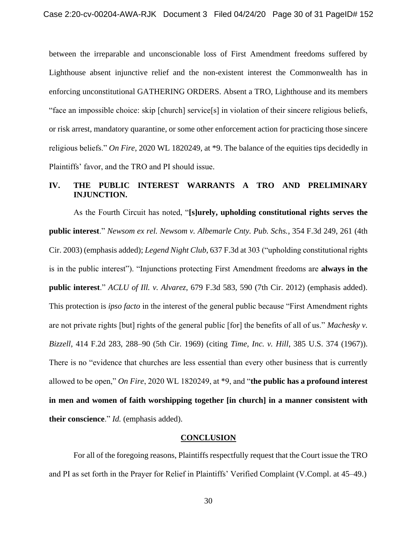between the irreparable and unconscionable loss of First Amendment freedoms suffered by Lighthouse absent injunctive relief and the non-existent interest the Commonwealth has in enforcing unconstitutional GATHERING ORDERS. Absent a TRO, Lighthouse and its members "face an impossible choice: skip [church] service[s] in violation of their sincere religious beliefs, or risk arrest, mandatory quarantine, or some other enforcement action for practicing those sincere religious beliefs." *On Fire*, 2020 WL 1820249, at \*9. The balance of the equities tips decidedly in Plaintiffs' favor, and the TRO and PI should issue.

## **IV. THE PUBLIC INTEREST WARRANTS A TRO AND PRELIMINARY INJUNCTION.**

As the Fourth Circuit has noted, "**[s]urely, upholding constitutional rights serves the public interest**." *Newsom ex rel. Newsom v. Albemarle Cnty. Pub. Schs.*, 354 F.3d 249, 261 (4th Cir. 2003) (emphasis added); *Legend Night Club*, 637 F.3d at 303 ("upholding constitutional rights is in the public interest"). "Injunctions protecting First Amendment freedoms are **always in the public interest**." *ACLU of Ill. v. Alvarez*, 679 F.3d 583, 590 (7th Cir. 2012) (emphasis added). This protection is *ipso facto* in the interest of the general public because "First Amendment rights are not private rights [but] rights of the general public [for] the benefits of all of us." *Machesky v. Bizzell*, 414 F.2d 283, 288–90 (5th Cir. 1969) (citing *Time, Inc. v. Hill*, 385 U.S. 374 (1967)). There is no "evidence that churches are less essential than every other business that is currently allowed to be open," *On Fire*, 2020 WL 1820249, at \*9, and "**the public has a profound interest in men and women of faith worshipping together [in church] in a manner consistent with their conscience**." *Id.* (emphasis added).

# **CONCLUSION**

For all of the foregoing reasons, Plaintiffs respectfully request that the Court issue the TRO and PI as set forth in the Prayer for Relief in Plaintiffs' Verified Complaint (V.Compl. at 45–49.)